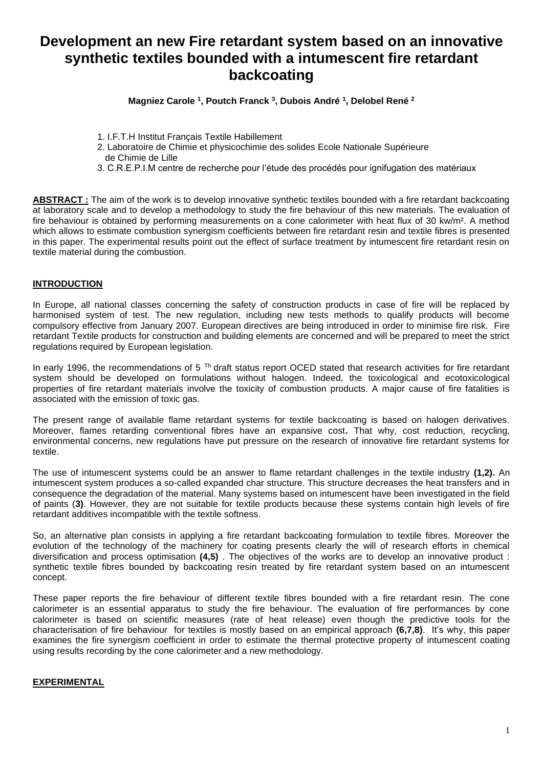# **Development an new Fire retardant system based on an innovative synthetic textiles bounded with a intumescent fire retardant backcoating**

**Magniez Carole <sup>1</sup> , Poutch Franck <sup>3</sup> , Dubois André <sup>1</sup> , Delobel René <sup>2</sup>**

- 1. I.F.T.H Institut Français Textile Habillement
- 2. Laboratoire de Chimie et physicochimie des solides Ecole Nationale Supérieure
- de Chimie de Lille
- 3. C.R.E.P.I.M centre de recherche pour l'étude des procédés pour ignifugation des matériaux

**ABSTRACT :** The aim of the work is to develop innovative synthetic textiles bounded with a fire retardant backcoating at laboratory scale and to develop a methodology to study the fire behaviour of this new materials. The evaluation of fire behaviour is obtained by performing measurements on a cone calorimeter with heat flux of 30 kw/m<sup>2</sup>. A method which allows to estimate combustion synergism coefficients between fire retardant resin and textile fibres is presented in this paper. The experimental results point out the effect of surface treatment by intumescent fire retardant resin on textile material during the combustion.

### **INTRODUCTION**

In Europe, all national classes concerning the safety of construction products in case of fire will be replaced by harmonised system of test. The new regulation, including new tests methods to qualify products will become compulsory effective from January 2007. European directives are being introduced in order to minimise fire risk. Fire retardant Textile products for construction and building elements are concerned and will be prepared to meet the strict regulations required by European legislation.

In early 1996, the recommendations of 5<sup>Th</sup> draft status report OCED stated that research activities for fire retardant system should be developed on formulations without halogen. Indeed, the toxicological and ecotoxicological properties of fire retardant materials involve the toxicity of combustion products. A major cause of fire fatalities is associated with the emission of toxic gas.

The present range of available flame retardant systems for textile backcoating is based on halogen derivatives. Moreover, flames retarding conventional fibres have an expansive cost**.** That why, cost reduction, recycling, environmental concerns, new regulations have put pressure on the research of innovative fire retardant systems for textile.

The use of intumescent systems could be an answer to flame retardant challenges in the textile industry **(1,2).** An intumescent system produces a so-called expanded char structure. This structure decreases the heat transfers and in consequence the degradation of the material. Many systems based on intumescent have been investigated in the field of paints (**3)**. However, they are not suitable for textile products because these systems contain high levels of fire retardant additives incompatible with the textile softness.

So, an alternative plan consists in applying a fire retardant backcoating formulation to textile fibres. Moreover the evolution of the technology of the machinery for coating presents clearly the will of research efforts in chemical diversification and process optimisation **(4,5)** . The objectives of the works are to develop an innovative product : synthetic textile fibres bounded by backcoating resin treated by fire retardant system based on an intumescent concept.

These paper reports the fire behaviour of different textile fibres bounded with a fire retardant resin. The cone calorimeter is an essential apparatus to study the fire behaviour. The evaluation of fire performances by cone calorimeter is based on scientific measures (rate of heat release) even though the predictive tools for the characterisation of fire behaviour for textiles is mostly based on an empirical approach **(6,7,8)**. It's why, this paper examines the fire synergism coefficient in order to estimate the thermal protective property of intumescent coating using results recording by the cone calorimeter and a new methodology.

#### **EXPERIMENTAL**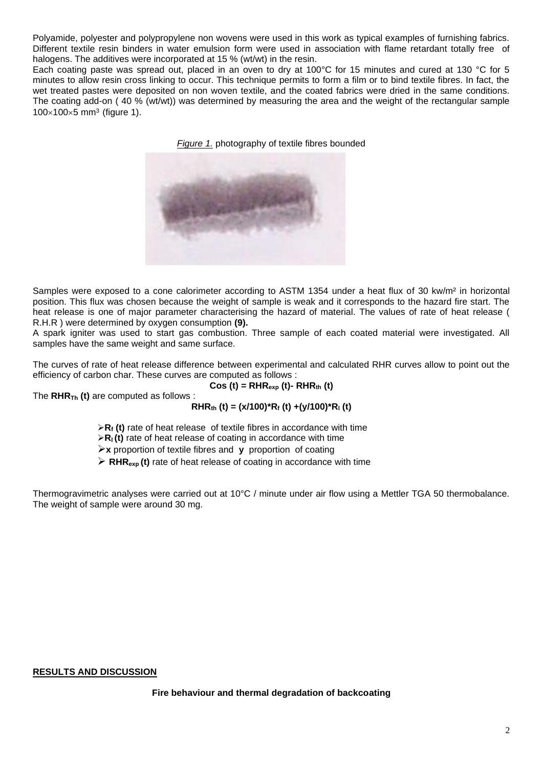Polyamide, polyester and polypropylene non wovens were used in this work as typical examples of furnishing fabrics. Different textile resin binders in water emulsion form were used in association with flame retardant totally free of halogens. The additives were incorporated at 15 % (wt/wt) in the resin.

Each coating paste was spread out, placed in an oven to dry at 100°C for 15 minutes and cured at 130 °C for 5 minutes to allow resin cross linking to occur. This technique permits to form a film or to bind textile fibres. In fact, the wet treated pastes were deposited on non woven textile, and the coated fabrics were dried in the same conditions. The coating add-on ( 40 % (wt/wt)) was determined by measuring the area and the weight of the rectangular sample  $100\times100\times5$  mm<sup>3</sup> (figure 1).





Samples were exposed to a cone calorimeter according to ASTM 1354 under a heat flux of 30 kw/m<sup>2</sup> in horizontal position. This flux was chosen because the weight of sample is weak and it corresponds to the hazard fire start. The heat release is one of major parameter characterising the hazard of material. The values of rate of heat release ( R.H.R ) were determined by oxygen consumption **(9).**

A spark igniter was used to start gas combustion. Three sample of each coated material were investigated. All samples have the same weight and same surface.

The curves of rate of heat release difference between experimental and calculated RHR curves allow to point out the efficiency of carbon char. These curves are computed as follows :

$$
Cos(t) = RHR_{exp}(t) - RHR_{th}(t)
$$

The **RHRTh (t)** are computed as follows :

$$
RHR_{th} (t) = (x/100)^*R_f (t) + (y/100)^*R_i (t)
$$

➢**R<sup>f</sup> (t)** rate of heat release of textile fibres in accordance with time

➢**Rl (t)** rate of heat release of coating in accordance with time

➢**x** proportion of textile fibres and **y** proportion of coating

➢ **RHRexp (t)** rate of heat release of coating in accordance with time

Thermogravimetric analyses were carried out at 10°C / minute under air flow using a Mettler TGA 50 thermobalance. The weight of sample were around 30 mg.

## **RESULTS AND DISCUSSION**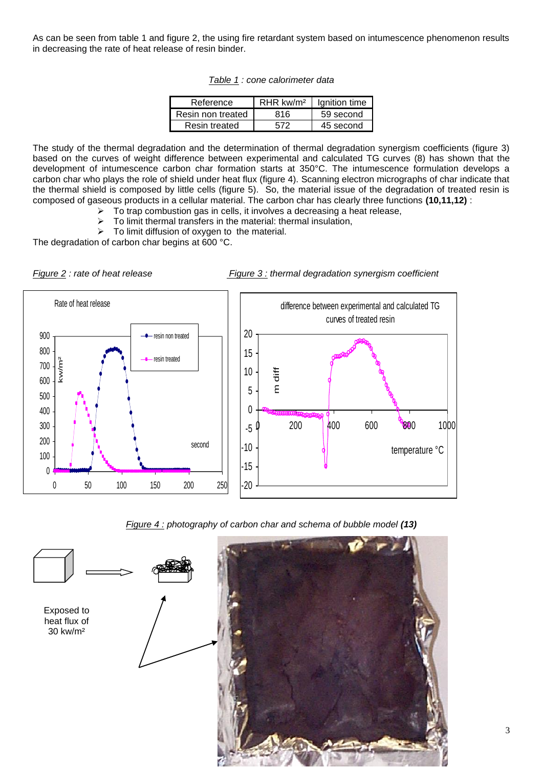As can be seen from table 1 and figure 2, the using fire retardant system based on intumescence phenomenon results in decreasing the rate of heat release of resin binder.

*Table 1 : cone calorimeter data*

| Reference         | $RHR$ kw/m <sup>2</sup> | Ignition time |
|-------------------|-------------------------|---------------|
| Resin non treated | 816.                    | 59 second     |
| Resin treated     | 572                     | 45 second     |

The study of the thermal degradation and the determination of thermal degradation synergism coefficients (figure 3) based on the curves of weight difference between experimental and calculated TG curves (8) has shown that the development of intumescence carbon char formation starts at 350°C. The intumescence formulation develops a carbon char who plays the role of shield under heat flux (figure 4). Scanning electron micrographs of char indicate that the thermal shield is composed by little cells (figure 5). So, the material issue of the degradation of treated resin is composed of gaseous products in a cellular material. The carbon char has clearly three functions **(10,11,12)** :

- $\triangleright$  To trap combustion gas in cells, it involves a decreasing a heat release,
- ➢ To limit thermal transfers in the material: thermal insulation,
- ➢ To limit diffusion of oxygen to the material.

The degradation of carbon char begins at 600 °C.





*Figure 4 : photography of carbon char and schema of bubble model (13)*

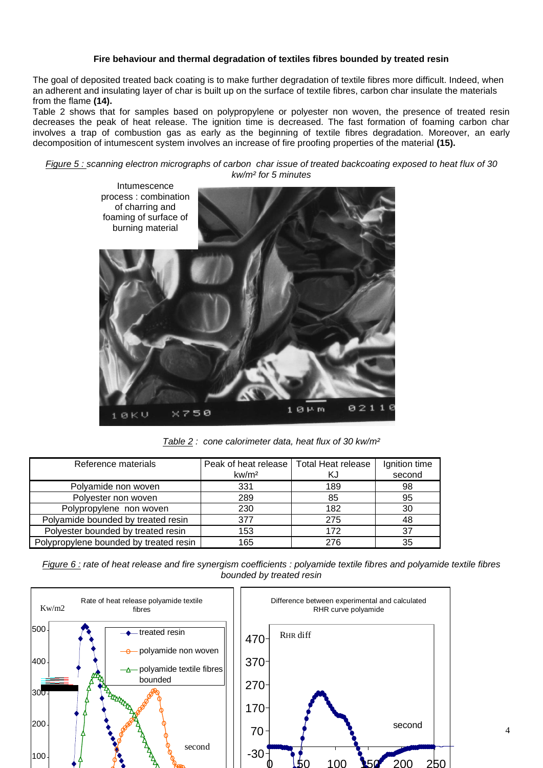### **Fire behaviour and thermal degradation of textiles fibres bounded by treated resin**

The goal of deposited treated back coating is to make further degradation of textile fibres more difficult. Indeed, when an adherent and insulating layer of char is built up on the surface of textile fibres, carbon char insulate the materials from the flame **(14).**

Table 2 shows that for samples based on polypropylene or polyester non woven, the presence of treated resin decreases the peak of heat release. The ignition time is decreased. The fast formation of foaming carbon char involves a trap of combustion gas as early as the beginning of textile fibres degradation. Moreover, an early decomposition of intumescent system involves an increase of fire proofing properties of the material **(15).**

*Figure 5 : scanning electron micrographs of carbon char issue of treated backcoating exposed to heat flux of 30 kw/m² for 5 minutes*



*Table 2 : cone calorimeter data, heat flux of 30 kw/m²*

| Reference materials                    | Peak of heat release<br>kw/m <sup>2</sup> | <b>Total Heat release</b><br>ΚJ | Ignition time<br>second |
|----------------------------------------|-------------------------------------------|---------------------------------|-------------------------|
| Polyamide non woven                    | 331                                       | 189                             | 98                      |
| Polyester non woven                    | 289                                       | 85                              | 95                      |
| Polypropylene non woven                | 230                                       | 182                             | 30                      |
| Polyamide bounded by treated resin     | 377                                       | 275                             | 48                      |
| Polyester bounded by treated resin     | 153                                       | 172                             | 37                      |
| Polypropylene bounded by treated resin | 165                                       | 276                             | 35                      |

*Figure 6 : rate of heat release and fire synergism coefficients : polyamide textile fibres and polyamide textile fibres bounded by treated resin*

![](_page_3_Figure_8.jpeg)

4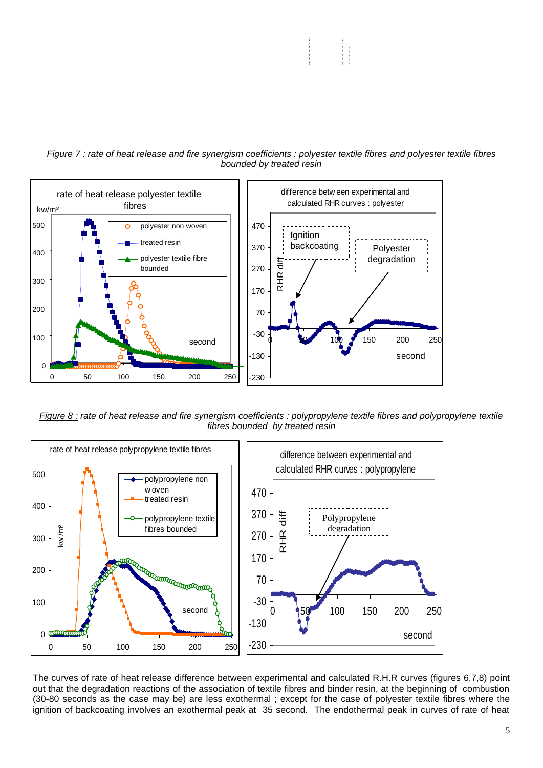![](_page_4_Figure_0.jpeg)

#### *Figure 7 : rate of heat release and fire synergism coefficients : polyester textile fibres and polyester textile fibres bounded by treated resin*

*Figure 8 : rate of heat release and fire synergism coefficients : polypropylene textile fibres and polypropylene textile fibres bounded by treated resin* 

![](_page_4_Figure_3.jpeg)

The curves of rate of heat release difference between experimental and calculated R.H.R curves (figures 6,7,8) point out that the degradation reactions of the association of textile fibres and binder resin, at the beginning of combustion (30-80 seconds as the case may be) are less exothermal ; except for the case of polyester textile fibres where the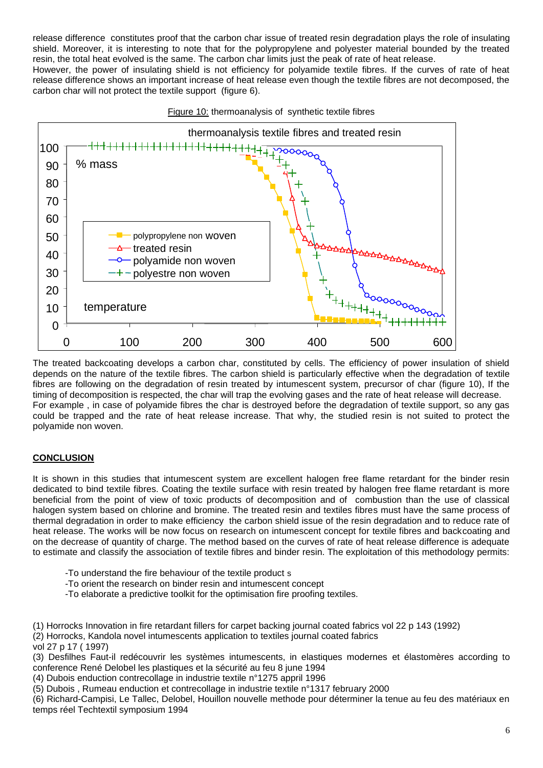release difference constitutes proof that the carbon char issue of treated resin degradation plays the role of insulating shield. Moreover, it is interesting to note that for the polypropylene and polyester material bounded by the treated resin, the total heat evolved is the same. The carbon char limits just the peak of rate of heat release.

However, the power of insulating shield is not efficiency for polyamide textile fibres. If the curves of rate of heat release difference shows an important increase of heat release even though the textile fibres are not decomposed, the carbon char will not protect the textile support (figure 6).

![](_page_5_Figure_2.jpeg)

![](_page_5_Figure_3.jpeg)

The treated backcoating develops a carbon char, constituted by cells. The efficiency of power insulation of shield depends on the nature of the textile fibres. The carbon shield is particularly effective when the degradation of textile fibres are following on the degradation of resin treated by intumescent system, precursor of char (figure 10), If the timing of decomposition is respected, the char will trap the evolving gases and the rate of heat release will decrease. For example , in case of polyamide fibres the char is destroyed before the degradation of textile support, so any gas could be trapped and the rate of heat release increase. That why, the studied resin is not suited to protect the polyamide non woven.

## **CONCLUSION**

It is shown in this studies that intumescent system are excellent halogen free flame retardant for the binder resin dedicated to bind textile fibres. Coating the textile surface with resin treated by halogen free flame retardant is more beneficial from the point of view of toxic products of decomposition and of combustion than the use of classical halogen system based on chlorine and bromine. The treated resin and textiles fibres must have the same process of thermal degradation in order to make efficiency the carbon shield issue of the resin degradation and to reduce rate of heat release. The works will be now focus on research on intumescent concept for textile fibres and backcoating and on the decrease of quantity of charge. The method based on the curves of rate of heat release difference is adequate to estimate and classify the association of textile fibres and binder resin. The exploitation of this methodology permits:

- -To understand the fire behaviour of the textile product s
- -To orient the research on binder resin and intumescent concept
- -To elaborate a predictive toolkit for the optimisation fire proofing textiles.

(1) Horrocks Innovation in fire retardant fillers for carpet backing journal coated fabrics vol 22 p 143 (1992)

- (2) Horrocks, Kandola novel intumescents application to textiles journal coated fabrics
- vol 27 p 17 ( 1997)

(3) Desfilhes Faut-il redécouvrir les systèmes intumescents, in elastiques modernes et élastomères according to conference René Delobel les plastiques et la sécurité au feu 8 june 1994

(4) Dubois enduction contrecollage in industrie textile n°1275 appril 1996

(5) Dubois , Rumeau enduction et contrecollage in industrie textile n°1317 february 2000

(6) Richard-Campisi, Le Tallec, Delobel, Houillon nouvelle methode pour déterminer la tenue au feu des matériaux en